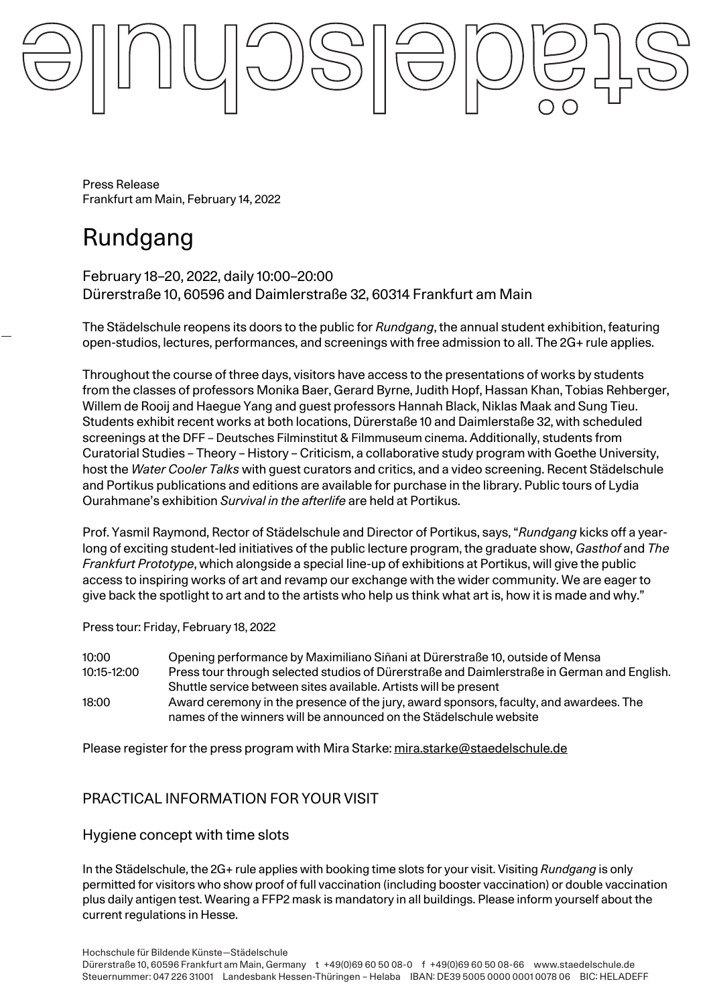Press Release Frankfurt am Main, February 14, 2022

# Rundgang

February 18–20, 2022, daily 10:00–20:00 Dürerstraße 10, 60596 and Daimlerstraße 32, 60314 Frankfurt am Main

The Städelschule reopens its doors to the public for *Rundgang*, the annual student exhibition, featuring open-studios, lectures, performances, and screenings with free admission to all. The 2G+ rule applies.

Throughout the course of three days, visitors have access to the presentations of works by students from the classes of professors Monika Baer, Gerard Byrne, Judith Hopf, Hassan Khan, Tobias Rehberger, Willem de Rooij and Haegue Yang and guest professors Hannah Black, Niklas Maak and Sung Tieu. Students exhibit recent works at both locations, Dürerstaße 10 and Daimlerstaße 32, with scheduled screenings at the DFF – Deutsches Filminstitut & Filmmuseum cinema. Additionally, students from Curatorial Studies – Theory – History – Criticism, a collaborative study program with Goethe University, host the *Water Cooler Talks* with guest curators and critics, and a video screening. Recent Städelschule and Portikus publications and editions are available for purchase in the library. Public tours of Lydia Ourahmane's exhibition *Survival in the afterlife* are held at Portikus.

Prof. Yasmil Raymond, Rector of Städelschule and Director of Portikus, says, "*Rundgang* kicks off a yearlong of exciting student-led initiatives of the public lecture program, the graduate show, *Gasthof* and *The Frankfurt Prototype*, which alongside a special line-up of exhibitions at Portikus, will give the public access to inspiring works of art and revamp our exchange with the wider community. We are eager to give back the spotlight to art and to the artists who help us think what art is, how it is made and why."

Press tour: Friday, February 18, 2022

10:00 Opening performance by Maximiliano Siñani at Dürerstraße 10, outside of Mensa 10:15-12:00 Press tour through selected studios of Dürerstraße and Daimlerstraße in German and English. Shuttle service between sites available. Artists will be present 18:00 Award ceremony in the presence of the jury, award sponsors, faculty, and awardees. The names of the winners will be announced on the Städelschule website

Please register for the press program with Mira Starke: mira.starke@staedelschule.de

# PRACTICAL INFORMATION FOR YOUR VISIT

Hygiene concept with time slots

In the Städelschule, the 2G+ rule applies with booking time slots for your visit. Visiting *Rundgang* is only permitted for visitors who show proof of full vaccination (including booster vaccination) or double vaccination plus daily antigen test. Wearing a FFP2 mask is mandatory in all buildings. Please inform yourself about the current regulations in Hesse.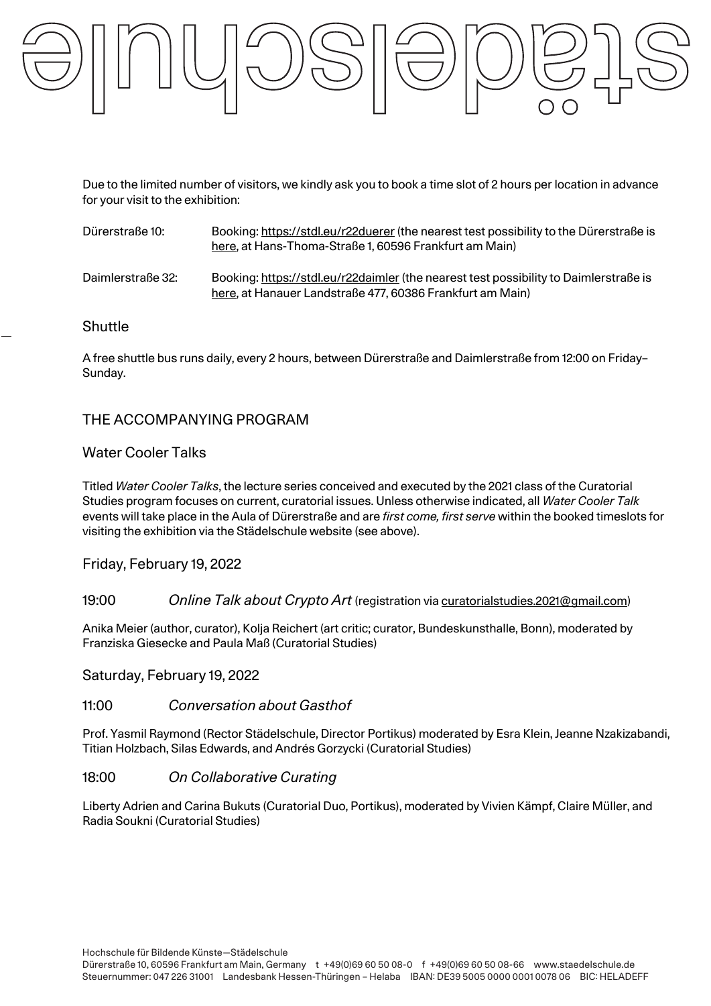

Due to the limited number of visitors, we kindly ask you to book a time slot of 2 hours per location in advance for your visit to the exhibition:

| Dürerstraße 10:   | Booking: https://stdl.eu/r22duerer (the nearest test possibility to the Dürerstraße is<br>here, at Hans-Thoma-Straße 1, 60596 Frankfurt am Main)   |
|-------------------|----------------------------------------------------------------------------------------------------------------------------------------------------|
| Daimlerstraße 32: | Booking: https://stdl.eu/r22daimler (the nearest test possibility to Daimlerstraße is<br>here, at Hanauer Landstraße 477, 60386 Frankfurt am Main) |

### **Shuttle**

A free shuttle bus runs daily, every 2 hours, between Dürerstraße and Daimlerstraße from 12:00 on Friday– Sunday.

# THE ACCOMPANYING PROGRAM

# Water Cooler Talks

Titled *Water Cooler Talks*, the lecture series conceived and executed by the 2021 class of the Curatorial Studies program focuses on current, curatorial issues. Unless otherwise indicated, all *Water Cooler Talk* events will take place in the Aula of Dürerstraße and are *first come, first serve* within the booked timeslots for visiting the exhibition via the Städelschule website (see above).

# Friday, February 19, 2022

### 19:00 *Online Talk about Crypto Art* (registration via curatorialstudies.2021@gmail.com)

Anika Meier (author, curator), Kolja Reichert (art critic; curator, Bundeskunsthalle, Bonn), moderated by Franziska Giesecke and Paula Maß (Curatorial Studies)

#### Saturday, February 19, 2022

### 11:00 *Conversation about Gasthof*

Prof. Yasmil Raymond (Rector Städelschule, Director Portikus) moderated by Esra Klein, Jeanne Nzakizabandi, Titian Holzbach, Silas Edwards, and Andrés Gorzycki (Curatorial Studies)

#### 18:00 *On Collaborative Curating*

Liberty Adrien and Carina Bukuts (Curatorial Duo, Portikus), moderated by Vivien Kämpf, Claire Müller, and Radia Soukni (Curatorial Studies)

Hochschule für Bildende Künste—Städelschule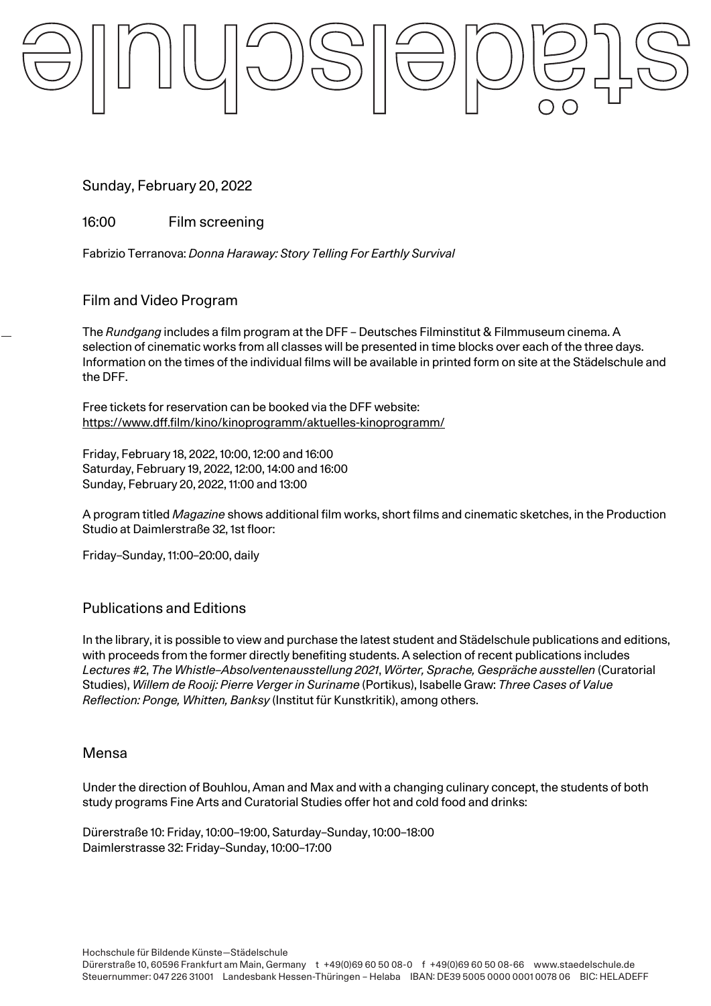Sunday, February 20, 2022

16:00 Film screening

Fabrizio Terranova: *Donna Haraway: Story Telling For Earthly Survival*

# Film and Video Program

The *Rundgang* includes a film program at the DFF – Deutsches Filminstitut & Filmmuseum cinema. A selection of cinematic works from all classes will be presented in time blocks over each of the three days. Information on the times of the individual films will be available in printed form on site at the Städelschule and the DFF.

Free tickets for reservation can be booked via the DFF website: https://www.dff.film/kino/kinoprogramm/aktuelles-kinoprogramm/

Friday, February 18, 2022, 10:00, 12:00 and 16:00 Saturday, February 19, 2022, 12:00, 14:00 and 16:00 Sunday, February 20, 2022, 11:00 and 13:00

A program titled *Magazine* shows additional film works, short films and cinematic sketches, in the Production Studio at Daimlerstraße 32, 1st floor:

Friday–Sunday, 11:00–20:00, daily

# Publications and Editions

In the library, it is possible to view and purchase the latest student and Städelschule publications and editions, with proceeds from the former directly benefiting students. A selection of recent publications includes *Lectures* #2, *The Whistle–Absolventenausstellung 2021*, *Wörter, Sprache, Gespräche ausstellen* (Curatorial Studies), *Willem de Rooij: Pierre Verger in Suriname* (Portikus), Isabelle Graw: *Three Cases of Value Reflection: Ponge, Whitten, Banksy* (Institut für Kunstkritik), among others.

# Mensa

Under the direction of Bouhlou, Aman and Max and with a changing culinary concept, the students of both study programs Fine Arts and Curatorial Studies offer hot and cold food and drinks:

Dürerstraße 10: Friday, 10:00–19:00, Saturday–Sunday, 10:00–18:00 Daimlerstrasse 32: Friday–Sunday, 10:00–17:00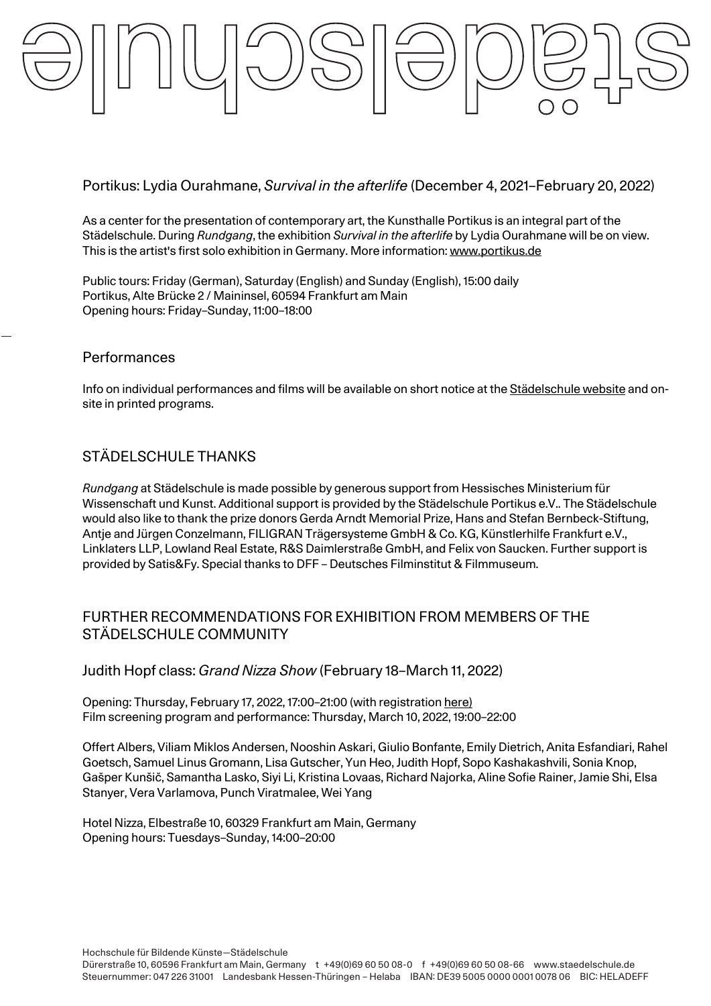# Portikus: Lydia Ourahmane, *Survival in the afterlife* (December 4, 2021–February 20, 2022)

As a center for the presentation of contemporary art, the Kunsthalle Portikus is an integral part of the Städelschule. During *Rundgang*, the exhibition *Survival in the afterlife* by Lydia Ourahmane will be on view. This is the artist's first solo exhibition in Germany. More information: www.portikus.de

Public tours: Friday (German), Saturday (English) and Sunday (English), 15:00 daily Portikus, Alte Brücke 2 / Maininsel, 60594 Frankfurt am Main Opening hours: Friday–Sunday, 11:00–18:00

# **Performances**

Info on individual performances and films will be available on short notice at the Städelschule website and onsite in printed programs.

# STÄDELSCHULE THANKS

*Rundgang* at Städelschule is made possible by generous support from Hessisches Ministerium für Wissenschaft und Kunst. Additional support is provided by the Städelschule Portikus e.V.. The Städelschule would also like to thank the prize donors Gerda Arndt Memorial Prize, Hans and Stefan Bernbeck-Stiftung, Antje and Jürgen Conzelmann, FILIGRAN Trägersysteme GmbH & Co. KG, Künstlerhilfe Frankfurt e.V., Linklaters LLP, Lowland Real Estate, R&S Daimlerstraße GmbH, and Felix von Saucken. Further support is provided by Satis&Fy. Special thanks to DFF – Deutsches Filminstitut & Filmmuseum.

# FURTHER RECOMMENDATIONS FOR EXHIBITION FROM MEMBERS OF THE STÄDELSCHULE COMMUNITY

# Judith Hopf class: *Grand Nizza Show* (February 18–March 11, 2022)

Opening: Thursday, February 17, 2022, 17:00–21:00 (with registration here) Film screening program and performance: Thursday, March 10, 2022, 19:00–22:00

Offert Albers, Viliam Miklos Andersen, Nooshin Askari, Giulio Bonfante, Emily Dietrich, Anita Esfandiari, Rahel Goetsch, Samuel Linus Gromann, Lisa Gutscher, Yun Heo, Judith Hopf, Sopo Kashakashvili, Sonia Knop, Gašper Kunšič, Samantha Lasko, Siyi Li, Kristina Lovaas, Richard Najorka, Aline Sofie Rainer, Jamie Shi, Elsa Stanyer, Vera Varlamova, Punch Viratmalee, Wei Yang

Hotel Nizza, Elbestraße 10, 60329 Frankfurt am Main, Germany Opening hours: Tuesdays–Sunday, 14:00–20:00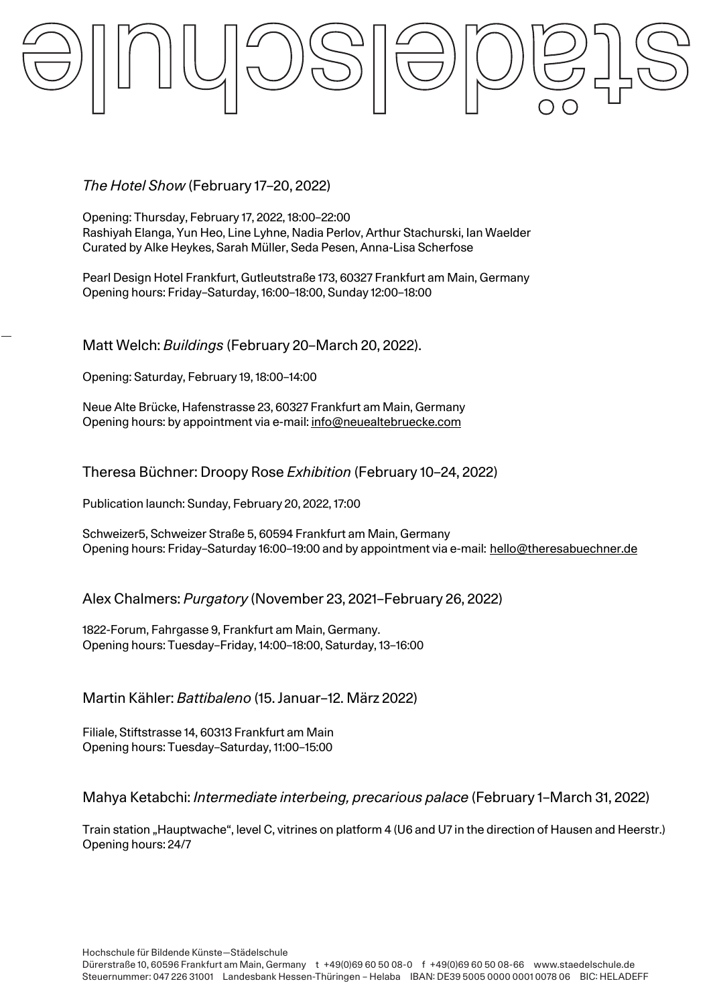# *The Hotel Show* (February 17–20, 2022)

Opening: Thursday, February 17, 2022, 18:00–22:00 Rashiyah Elanga, Yun Heo, Line Lyhne, Nadia Perlov, Arthur Stachurski, Ian Waelder Curated by Alke Heykes, Sarah Müller, Seda Pesen, Anna-Lisa Scherfose

Pearl Design Hotel Frankfurt, Gutleutstraße 173, 60327 Frankfurt am Main, Germany Opening hours: Friday–Saturday, 16:00–18:00, Sunday 12:00–18:00

Matt Welch: *Buildings* (February 20–March 20, 2022).

Opening: Saturday, February 19, 18:00–14:00

Neue Alte Brücke, Hafenstrasse 23, 60327 Frankfurt am Main, Germany Opening hours: by appointment via e-mail: info@neuealtebruecke.com

Theresa Büchner: Droopy Rose *Exhibition* (February 10–24, 2022)

Publication launch: Sunday, February 20, 2022, 17:00

Schweizer5, Schweizer Straße 5, 60594 Frankfurt am Main, Germany Opening hours: Friday–Saturday 16:00–19:00 and by appointment via e-mail: hello@theresabuechner.de

Alex Chalmers: *Purgatory* (November 23, 2021–February 26, 2022)

1822-Forum, Fahrgasse 9, Frankfurt am Main, Germany. Opening hours: Tuesday–Friday, 14:00–18:00, Saturday, 13–16:00

Martin Kähler: *Battibaleno* (15. Januar–12. März 2022)

Filiale, Stiftstrasse 14, 60313 Frankfurt am Main Opening hours: Tuesday–Saturday, 11:00–15:00

Mahya Ketabchi: *Intermediate interbeing, precarious palace* (February 1–March 31, 2022)

Train station "Hauptwache", level C, vitrines on platform 4 (U6 and U7 in the direction of Hausen and Heerstr.) Opening hours: 24/7

Hochschule für Bildende Künste—Städelschule Dürerstraße 10, 60596 Frankfurt am Main, Germany t +49(0)69 60 50 08-0 f +49(0)69 60 50 08-66 www.staedelschule.de Steuernummer: 047 226 31001 Landesbank Hessen-Thüringen – Helaba IBAN: DE39 5005 0000 0001 0078 06 BIC: HELADEFF